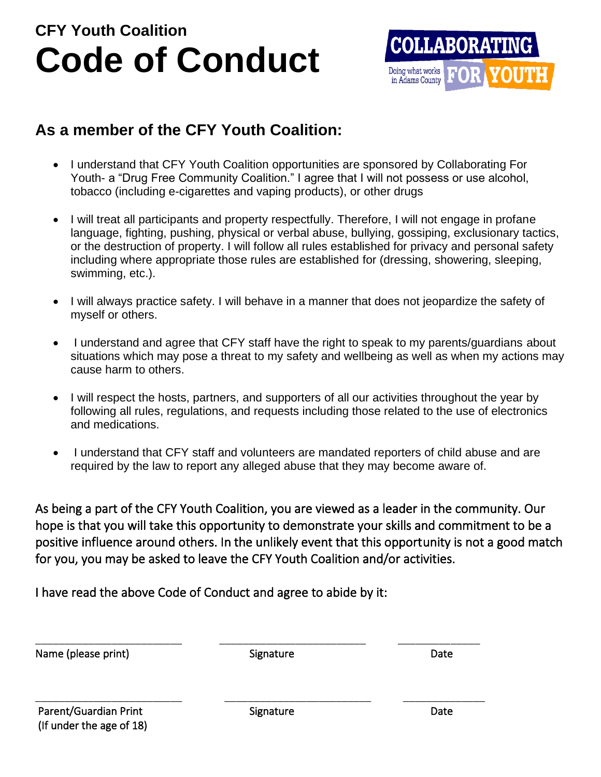# **CFY Youth Coalition Code of Conduct**



## **As a member of the CFY Youth Coalition:**

- I understand that CFY Youth Coalition opportunities are sponsored by Collaborating For Youth- a "Drug Free Community Coalition." I agree that I will not possess or use alcohol, tobacco (including e-cigarettes and vaping products), or other drugs
- I will treat all participants and property respectfully. Therefore, I will not engage in profane language, fighting, pushing, physical or verbal abuse, bullying, gossiping, exclusionary tactics, or the destruction of property. I will follow all rules established for privacy and personal safety including where appropriate those rules are established for (dressing, showering, sleeping, swimming, etc.).
- I will always practice safety. I will behave in a manner that does not jeopardize the safety of myself or others.
- I understand and agree that CFY staff have the right to speak to my parents/guardians about situations which may pose a threat to my safety and wellbeing as well as when my actions may cause harm to others.
- I will respect the hosts, partners, and supporters of all our activities throughout the year by following all rules, regulations, and requests including those related to the use of electronics and medications.
- I understand that CFY staff and volunteers are mandated reporters of child abuse and are required by the law to report any alleged abuse that they may become aware of.

As being a part of the CFY Youth Coalition, you are viewed as a leader in the community. Our hope is that you will take this opportunity to demonstrate your skills and commitment to be a positive influence around others. In the unlikely event that this opportunity is not a good match for you, you may be asked to leave the CFY Youth Coalition and/or activities.

I have read the above Code of Conduct and agree to abide by it:

| Name (please print)      | Signature | Date |
|--------------------------|-----------|------|
| Parent/Guardian Print    | Signature | Date |
| (If under the age of 18) |           |      |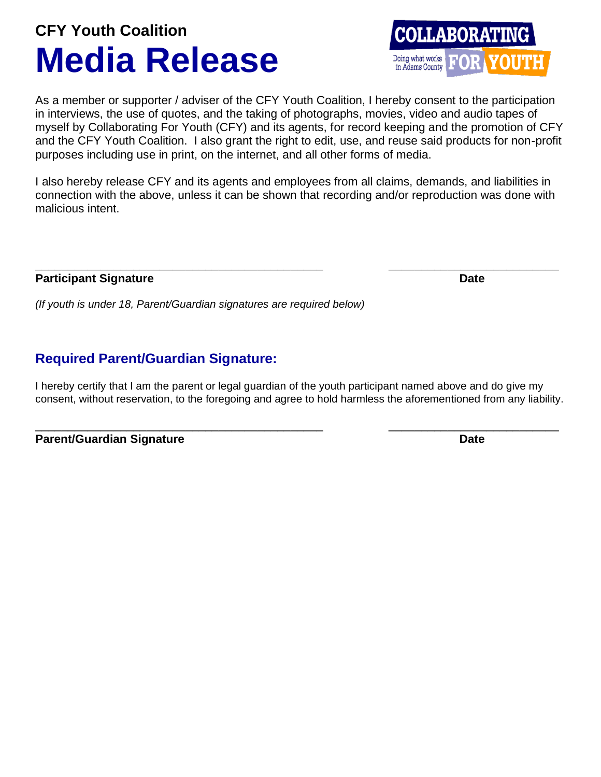# **CFY Youth Coalition Media Release**

As a member or supporter / adviser of the CFY Youth Coalition, I hereby consent to the participation in interviews, the use of quotes, and the taking of photographs, movies, video and audio tapes of myself by Collaborating For Youth (CFY) and its agents, for record keeping and the promotion of CFY and the CFY Youth Coalition. I also grant the right to edit, use, and reuse said products for non-profit purposes including use in print, on the internet, and all other forms of media.

I also hereby release CFY and its agents and employees from all claims, demands, and liabilities in connection with the above, unless it can be shown that recording and/or reproduction was done with malicious intent.

#### **Participant Signature Date**

*(If youth is under 18, Parent/Guardian signatures are required below)*

### **Required Parent/Guardian Signature:**

I hereby certify that I am the parent or legal guardian of the youth participant named above and do give my consent, without reservation, to the foregoing and agree to hold harmless the aforementioned from any liability.

\_\_\_\_\_\_\_\_\_\_\_\_\_\_\_\_\_\_\_\_\_\_\_\_\_\_\_\_\_\_\_\_\_\_\_\_\_\_\_\_\_\_\_\_ \_\_\_\_\_\_\_\_\_\_\_\_\_\_\_\_\_\_\_\_\_\_\_\_\_\_

| <b>Parent/Guardian Signature</b> | <b>Date</b> |
|----------------------------------|-------------|
|                                  |             |



**\_\_\_\_\_\_\_\_\_\_\_\_\_\_\_\_\_\_\_\_\_\_\_\_\_\_\_\_\_\_\_\_\_\_\_\_\_\_\_\_\_\_\_\_ \_\_\_\_\_\_\_\_\_\_\_\_\_\_\_\_\_\_\_\_\_\_\_\_\_\_**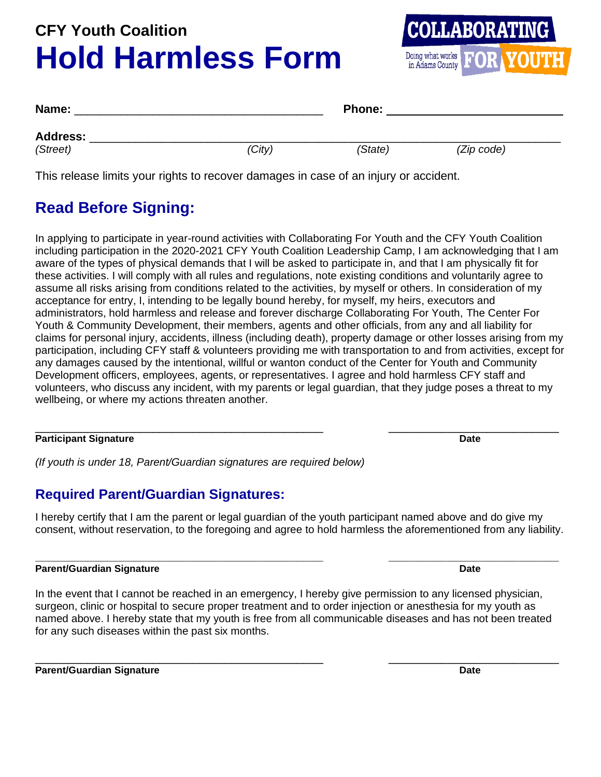# **CFY Youth Coalition Hold Harmless Form**



| Name:                       |        | <b>Phone:</b> |            |  |
|-----------------------------|--------|---------------|------------|--|
| <b>Address:</b><br>(Street) | (City) | (State)       | (Zip code) |  |

This release limits your rights to recover damages in case of an injury or accident.

## **Read Before Signing:**

In applying to participate in year-round activities with Collaborating For Youth and the CFY Youth Coalition including participation in the 2020-2021 CFY Youth Coalition Leadership Camp, I am acknowledging that I am aware of the types of physical demands that I will be asked to participate in, and that I am physically fit for these activities. I will comply with all rules and regulations, note existing conditions and voluntarily agree to assume all risks arising from conditions related to the activities, by myself or others. In consideration of my acceptance for entry, I, intending to be legally bound hereby, for myself, my heirs, executors and administrators, hold harmless and release and forever discharge Collaborating For Youth, The Center For Youth & Community Development, their members, agents and other officials, from any and all liability for claims for personal injury, accidents, illness (including death), property damage or other losses arising from my participation, including CFY staff & volunteers providing me with transportation to and from activities, except for any damages caused by the intentional, willful or wanton conduct of the Center for Youth and Community Development officers, employees, agents, or representatives. I agree and hold harmless CFY staff and volunteers, who discuss any incident, with my parents or legal guardian, that they judge poses a threat to my wellbeing, or where my actions threaten another.

#### \_\_\_\_\_\_\_\_\_\_\_\_\_\_\_\_\_\_\_\_\_\_\_\_\_\_\_\_\_\_\_\_\_\_\_\_\_\_\_\_\_\_\_\_ \_\_\_\_\_\_\_\_\_\_\_\_\_\_\_\_\_\_\_\_\_\_\_\_\_\_ **Participant Signature Date**

*(If youth is under 18, Parent/Guardian signatures are required below)*

### **Required Parent/Guardian Signatures:**

I hereby certify that I am the parent or legal guardian of the youth participant named above and do give my consent, without reservation, to the foregoing and agree to hold harmless the aforementioned from any liability.

#### **\_\_\_\_\_\_\_\_\_\_\_\_\_\_\_\_\_\_\_\_\_\_\_\_\_\_\_\_\_\_\_\_\_\_\_\_\_\_\_\_\_\_\_\_ \_\_\_\_\_\_\_\_\_\_\_\_\_\_\_\_\_\_\_\_\_\_\_\_\_\_ Parent/Guardian Signature Date**

In the event that I cannot be reached in an emergency, I hereby give permission to any licensed physician, surgeon, clinic or hospital to secure proper treatment and to order injection or anesthesia for my youth as named above. I hereby state that my youth is free from all communicable diseases and has not been treated for any such diseases within the past six months.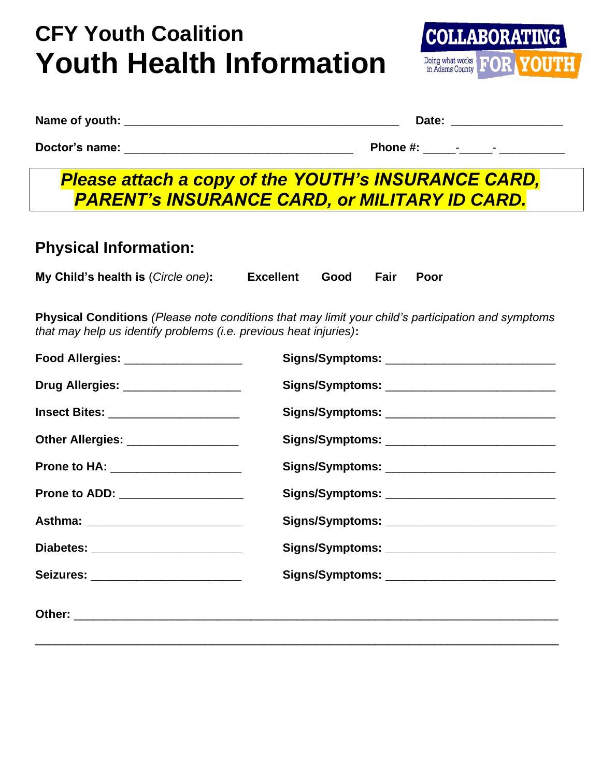# **CFY Youth Coalition Youth Health Information**



|  | Name of youth: |
|--|----------------|
|  |                |

**Nate:**  $\blacksquare$ 

**Doctor's name:** \_\_\_\_\_\_\_\_\_\_\_\_\_\_\_\_\_\_\_\_\_\_\_\_\_\_\_\_\_\_\_\_\_\_\_ **Phone #:** \_\_\_\_\_-\_\_\_\_\_- \_\_\_\_\_\_\_\_\_\_

## *Please attach a copy of the YOUTH's INSURANCE CARD, PARENT's INSURANCE CARD, or MILITARY ID CARD.*

### **Physical Information:**

| My Child's health is (Circle one): | Excellent Good Fair Poor |  |  |
|------------------------------------|--------------------------|--|--|

**Physical Conditions** *(Please note conditions that may limit your child's participation and symptoms that may help us identify problems (i.e. previous heat injuries)***:**

| Food Allergies: __________________           | Signs/Symptoms: _______________________________ |
|----------------------------------------------|-------------------------------------------------|
| Drug Allergies: ___________________          |                                                 |
| <b>Insect Bites: _______________________</b> |                                                 |
| Other Allergies: ___________________         |                                                 |
| Prone to HA: ___________________             | Signs/Symptoms: _____________________________   |
| Prone to ADD: _________________              | Signs/Symptoms: ____________________________    |
| Asthma: ___________________________          | Signs/Symptoms: ____________________________    |
| Diabetes: ____________________________       | Signs/Symptoms: ____________________________    |
| Seizures: ________________________           | Signs/Symptoms: ______________________________  |
|                                              |                                                 |
|                                              |                                                 |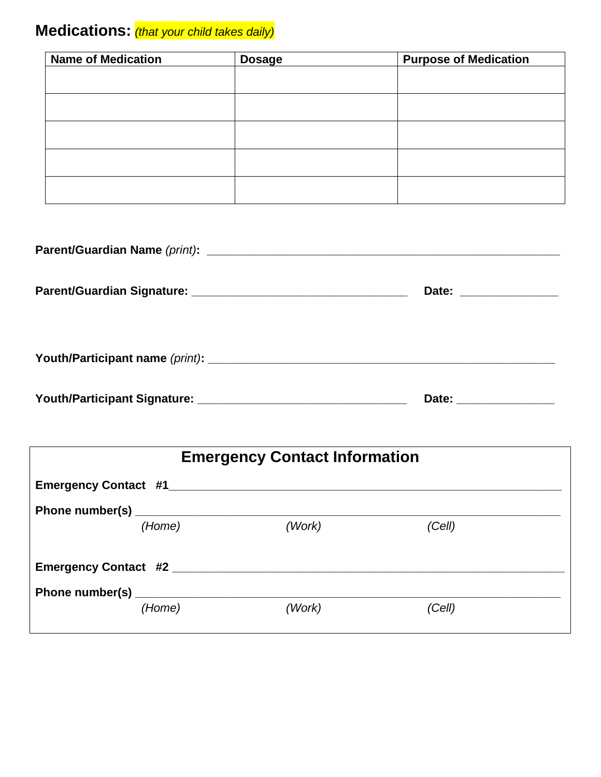## **Medications:** *(that your child takes daily)*

| <b>Name of Medication</b> | <b>Dosage</b> | <b>Purpose of Medication</b> |
|---------------------------|---------------|------------------------------|
|                           |               |                              |
|                           |               |                              |
|                           |               |                              |
|                           |               |                              |
|                           |               |                              |
|                           |               |                              |
|                           |               |                              |
|                           |               |                              |
|                           |               |                              |
|                           |               |                              |

|  | Date: _________________ |  |
|--|-------------------------|--|
|  |                         |  |
|  | Date: ________________  |  |

| <b>Emergency Contact Information</b> |        |        |  |
|--------------------------------------|--------|--------|--|
|                                      |        |        |  |
|                                      |        |        |  |
| (Home)                               | (Work) | (Cell) |  |
| Emergency Contact #2<br>(Home)       | (Work) | (Cell) |  |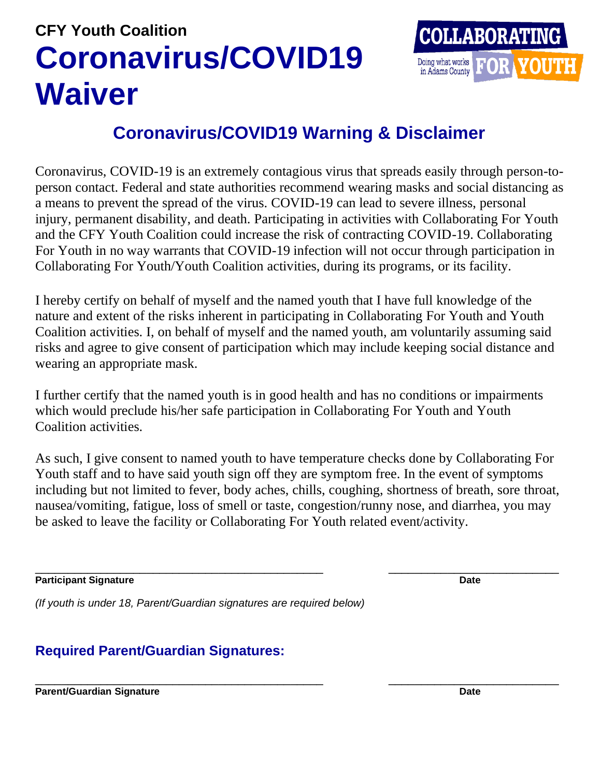# **CFY Youth Coalition Coronavirus/COVID19 Waiver**



## **Coronavirus/COVID19 Warning & Disclaimer**

Coronavirus, COVID-19 is an extremely contagious virus that spreads easily through person-toperson contact. Federal and state authorities recommend wearing masks and social distancing as a means to prevent the spread of the virus. COVID-19 can lead to severe illness, personal injury, permanent disability, and death. Participating in activities with Collaborating For Youth and the CFY Youth Coalition could increase the risk of contracting COVID-19. Collaborating For Youth in no way warrants that COVID-19 infection will not occur through participation in Collaborating For Youth/Youth Coalition activities, during its programs, or its facility.

I hereby certify on behalf of myself and the named youth that I have full knowledge of the nature and extent of the risks inherent in participating in Collaborating For Youth and Youth Coalition activities. I, on behalf of myself and the named youth, am voluntarily assuming said risks and agree to give consent of participation which may include keeping social distance and wearing an appropriate mask.

I further certify that the named youth is in good health and has no conditions or impairments which would preclude his/her safe participation in Collaborating For Youth and Youth Coalition activities.

As such, I give consent to named youth to have temperature checks done by Collaborating For Youth staff and to have said youth sign off they are symptom free. In the event of symptoms including but not limited to fever, body aches, chills, coughing, shortness of breath, sore throat, nausea/vomiting, fatigue, loss of smell or taste, congestion/runny nose, and diarrhea, you may be asked to leave the facility or Collaborating For Youth related event/activity.

\_\_\_\_\_\_\_\_\_\_\_\_\_\_\_\_\_\_\_\_\_\_\_\_\_\_\_\_\_\_\_\_\_\_\_\_\_\_\_\_\_\_\_\_ \_\_\_\_\_\_\_\_\_\_\_\_\_\_\_\_\_\_\_\_\_\_\_\_\_\_

**Participant Signature Date Date Date Date Date Date Date Date Date Date Date Date Date Date** 

\_\_\_\_\_\_\_\_\_\_\_\_\_\_\_\_\_\_\_\_\_\_\_\_\_\_\_\_\_\_\_\_\_\_\_\_\_\_\_\_\_\_\_\_ \_\_\_\_\_\_\_\_\_\_\_\_\_\_\_\_\_\_\_\_\_\_\_\_\_\_

*(If youth is under 18, Parent/Guardian signatures are required below)*

### **Required Parent/Guardian Signatures:**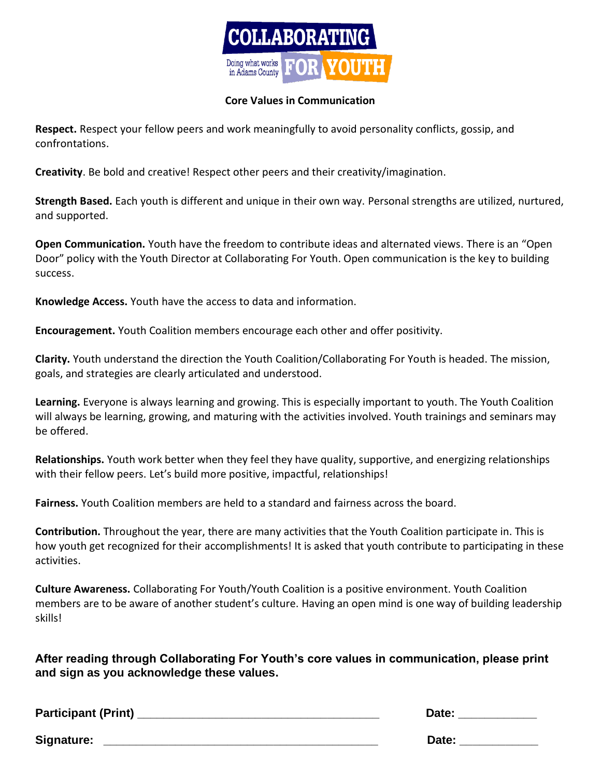

#### **Core Values in Communication**

**Respect.** Respect your fellow peers and work meaningfully to avoid personality conflicts, gossip, and confrontations.

**Creativity**. Be bold and creative! Respect other peers and their creativity/imagination.

**Strength Based.** Each youth is different and unique in their own way. Personal strengths are utilized, nurtured, and supported.

**Open Communication.** Youth have the freedom to contribute ideas and alternated views. There is an "Open Door" policy with the Youth Director at Collaborating For Youth. Open communication is the key to building success.

**Knowledge Access.** Youth have the access to data and information.

**Encouragement.** Youth Coalition members encourage each other and offer positivity.

**Clarity.** Youth understand the direction the Youth Coalition/Collaborating For Youth is headed. The mission, goals, and strategies are clearly articulated and understood.

**Learning.** Everyone is always learning and growing. This is especially important to youth. The Youth Coalition will always be learning, growing, and maturing with the activities involved. Youth trainings and seminars may be offered.

**Relationships.** Youth work better when they feel they have quality, supportive, and energizing relationships with their fellow peers. Let's build more positive, impactful, relationships!

**Fairness.** Youth Coalition members are held to a standard and fairness across the board.

**Contribution.** Throughout the year, there are many activities that the Youth Coalition participate in. This is how youth get recognized for their accomplishments! It is asked that youth contribute to participating in these activities.

**Culture Awareness.** Collaborating For Youth/Youth Coalition is a positive environment. Youth Coalition members are to be aware of another student's culture. Having an open mind is one way of building leadership skills!

**After reading through Collaborating For Youth's core values in communication, please print and sign as you acknowledge these values.**

**Participant (Print) \_\_\_\_\_\_\_\_\_\_\_\_\_\_\_\_\_\_\_\_\_\_\_\_\_\_\_\_\_\_\_\_\_\_\_\_\_ Date: \_\_\_\_\_\_\_\_\_\_\_\_** Signature: **Example 20 and 20 and 20 and 20 and 20 and 20 and 20 and 20 and 20 and 20 and 20 and 20 and 20 and 20 and 20 and 20 and 20 and 20 and 20 and 20 and 20 and 20 and 20 and 20 and 20 and 20 and 20 and 20 and 20 and**